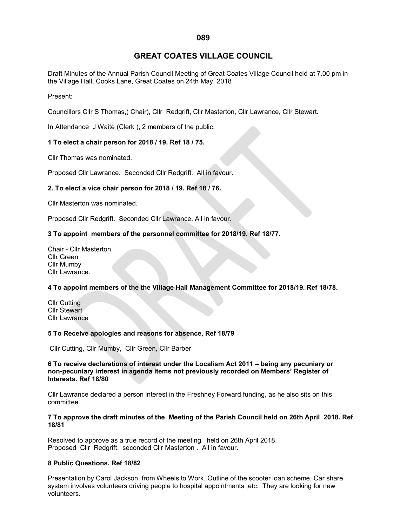# **GREAT COATES VILLAGE COUNCIL**

Draft Minutes of the Annual Parish Council Meeting of Great Coates Village Council held at 7.00 pm in the Village Hall, Cooks Lane, Great Coates on 24th May 2018

## Present:

Councillors Cllr S Thomas,( Chair), Cllr Redgrift, Cllr Masterton, Cllr Lawrance, Cllr Stewart.

In Attendance J Waite (Clerk ), 2 members of the public.

# **1 To elect a chair person for 2018 / 19. Ref 18 / 75.**

Cllr Thomas was nominated.

Proposed Cllr Lawrance. Seconded Cllr Redgrift. All in favour.

# **2. To elect a vice chair person for 2018 / 19. Ref 18 / 76.**

Cllr Masterton was nominated.

Proposed Cllr Redgrift. Seconded Cllr Lawrance. All in favour.

# **3 To appoint members of the personnel committee for 2018/19. Ref 18/77.**

Chair - Cllr Masterton. Cllr Green Cllr Mumby Cllr Lawrance.

# **4 To appoint members of the the Village Hall Management Committee for 2018/19. Ref 18/78.**

Cllr Cutting Cllr Stewart Cllr Lawrance

#### **5 To Receive apologies and reasons for absence, Ref 18/79**

Cllr Cutting, Cllr Mumby, Cllr Green, Cllr Barber

## **6 To receive declarations of interest under the Localism Act 2011 – being any pecuniary or non-pecuniary interest in agenda items not previously recorded on Members' Register of Interests. Ref 18/80**

Cllr Lawrance declared a person interest in the Freshney Forward funding, as he also sits on this committee.

## **7 To approve the draft minutes of the Meeting of the Parish Council held on 26th April 2018. Ref 18/81**

Resolved to approve as a true record of the meeting held on 26th April 2018. Proposed Cllr Redgrift. seconded Cllr Masterton . All in favour.

#### **8 Public Questions. Ref 18/82**

Presentation by Carol Jackson, from Wheels to Work. Outline of the scooter loan scheme. Car share system involves volunteers driving people to hospital appointments ,etc. They are looking for new volunteers.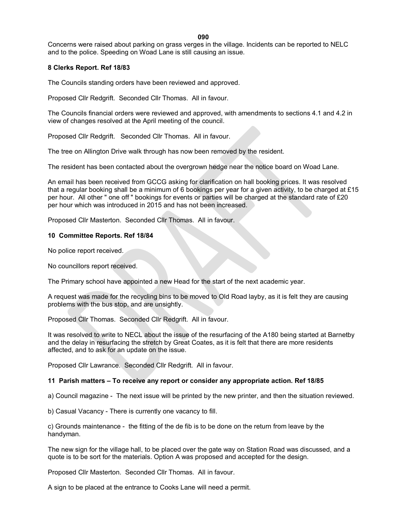**090**

Concerns were raised about parking on grass verges in the village. Incidents can be reported to NELC and to the police. Speeding on Woad Lane is still causing an issue.

# **8 Clerks Report. Ref 18/83**

The Councils standing orders have been reviewed and approved.

Proposed Cllr Redgrift. Seconded Cllr Thomas. All in favour.

The Councils financial orders were reviewed and approved, with amendments to sections 4.1 and 4.2 in view of changes resolved at the April meeting of the council.

Proposed Cllr Redgrift. Seconded Cllr Thomas. All in favour.

The tree on Allington Drive walk through has now been removed by the resident.

The resident has been contacted about the overgrown hedge near the notice board on Woad Lane.

An email has been received from GCCG asking for clarification on hall booking prices. It was resolved that a regular booking shall be a minimum of 6 bookings per year for a given activity, to be charged at £15 per hour. All other " one off " bookings for events or parties will be charged at the standard rate of £20 per hour which was introduced in 2015 and has not been increased.

Proposed Cllr Masterton. Seconded Cllr Thomas. All in favour.

## **10 Committee Reports. Ref 18/84**

No police report received.

No councillors report received.

The Primary school have appointed a new Head for the start of the next academic year.

A request was made for the recycling bins to be moved to Old Road layby, as it is felt they are causing problems with the bus stop, and are unsightly.

Proposed Cllr Thomas. Seconded Cllr Redgrift. All in favour.

It was resolved to write to NECL about the issue of the resurfacing of the A180 being started at Barnetby and the delay in resurfacing the stretch by Great Coates, as it is felt that there are more residents affected, and to ask for an update on the issue.

Proposed Cllr Lawrance. Seconded Cllr Redgrift. All in favour.

#### **11 Parish matters – To receive any report or consider any appropriate action. Ref 18/85**

a) Council magazine - The next issue will be printed by the new printer, and then the situation reviewed.

b) Casual Vacancy - There is currently one vacancy to fill.

c) Grounds maintenance - the fitting of the de fib is to be done on the return from leave by the handyman.

The new sign for the village hall, to be placed over the gate way on Station Road was discussed, and a quote is to be sort for the materials. Option A was proposed and accepted for the design.

Proposed Cllr Masterton. Seconded Cllr Thomas. All in favour.

A sign to be placed at the entrance to Cooks Lane will need a permit.